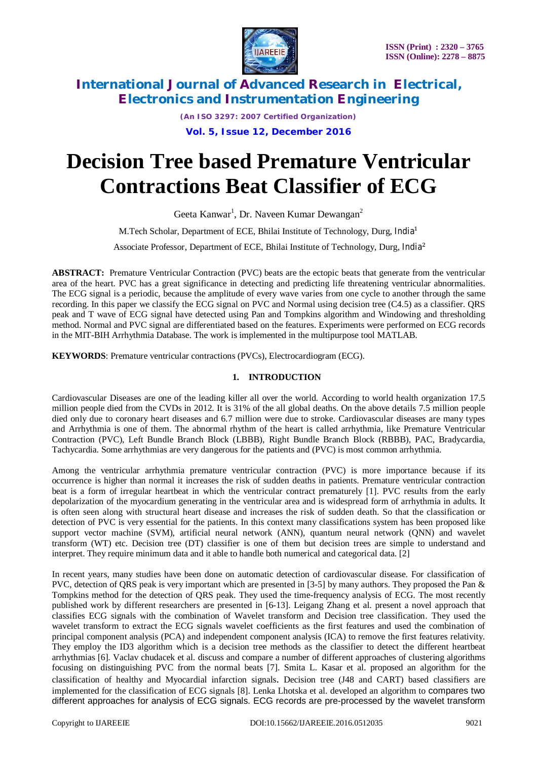

*(An ISO 3297: 2007 Certified Organization)* **Vol. 5, Issue 12, December 2016**

# **Decision Tree based Premature Ventricular Contractions Beat Classifier of ECG**

Geeta Kanwar<sup>1</sup>, Dr. Naveen Kumar Dewangan<sup>2</sup>

M.Tech Scholar, Department of ECE, Bhilai Institute of Technology, Durg, India<sup>1</sup>

Associate Professor, Department of ECE, Bhilai Institute of Technology, Durg, India<sup>2</sup>

**ABSTRACT:** Premature Ventricular Contraction (PVC) beats are the ectopic beats that generate from the ventricular area of the heart. PVC has a great significance in detecting and predicting life threatening ventricular abnormalities. The ECG signal is a periodic, because the amplitude of every wave varies from one cycle to another through the same recording. In this paper we classify the ECG signal on PVC and Normal using decision tree (C4.5) as a classifier. QRS peak and T wave of ECG signal have detected using Pan and Tompkins algorithm and Windowing and thresholding method. Normal and PVC signal are differentiated based on the features. Experiments were performed on ECG records in the MIT-BIH Arrhythmia Database. The work is implemented in the multipurpose tool MATLAB.

**KEYWORDS**: Premature ventricular contractions (PVCs), Electrocardiogram (ECG).

# **1. INTRODUCTION**

Cardiovascular Diseases are one of the leading killer all over the world. According to world health organization 17.5 million people died from the CVDs in 2012. It is 31% of the all global deaths. On the above details 7.5 million people died only due to coronary heart diseases and 6.7 million were due to stroke. Cardiovascular diseases are many types and Arrhythmia is one of them. The abnormal rhythm of the heart is called arrhythmia, like Premature Ventricular Contraction (PVC), Left Bundle Branch Block (LBBB), Right Bundle Branch Block (RBBB), PAC, Bradycardia, Tachycardia. Some arrhythmias are very dangerous for the patients and (PVC) is most common arrhythmia.

Among the ventricular arrhythmia premature ventricular contraction (PVC) is more importance because if its occurrence is higher than normal it increases the risk of sudden deaths in patients. Premature ventricular contraction beat is a form of irregular heartbeat in which the ventricular contract prematurely [1]. PVC results from the early depolarization of the myocardium generating in the ventricular area and is widespread form of arrhythmia in adults. It is often seen along with structural heart disease and increases the risk of sudden death. So that the classification or detection of PVC is very essential for the patients. In this context many classifications system has been proposed like support vector machine (SVM), artificial neural network (ANN), quantum neural network (QNN) and wavelet transform (WT) etc. Decision tree (DT) classifier is one of them but decision trees are simple to understand and interpret. They require minimum data and it able to handle both numerical and categorical data. [2]

In recent years, many studies have been done on automatic detection of cardiovascular disease. For classification of PVC, detection of QRS peak is very important which are presented in [3-5] by many authors. They proposed the Pan & Tompkins method for the detection of QRS peak. They used the time-frequency analysis of ECG. The most recently published work by different researchers are presented in [6-13]. Leigang Zhang et al. present a novel approach that classifies ECG signals with the combination of Wavelet transform and Decision tree classification. They used the wavelet transform to extract the ECG signals wavelet coefficients as the first features and used the combination of principal component analysis (PCA) and independent component analysis (ICA) to remove the first features relativity. They employ the ID3 algorithm which is a decision tree methods as the classifier to detect the different heartbeat arrhythmias [6]. Vaclav chudacek et al. discuss and compare a number of different approaches of clustering algorithms focusing on distinguishing PVC from the normal beats [7]. Smita L. Kasar et al. proposed an algorithm for the classification of healthy and Myocardial infarction signals. Decision tree (J48 and CART) based classifiers are implemented for the classification of ECG signals [8]. Lenka Lhotska et al. developed an algorithm to compares two different approaches for analysis of ECG signals. ECG records are pre-processed by the wavelet transform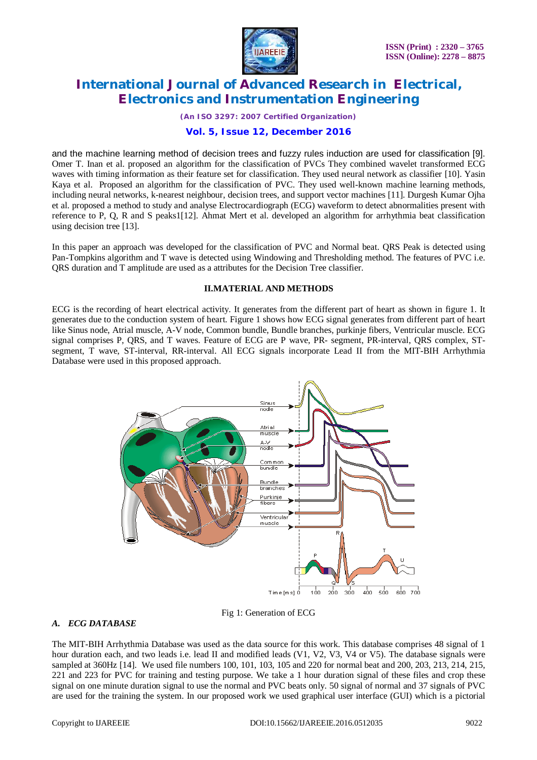

*(An ISO 3297: 2007 Certified Organization)*

## **Vol. 5, Issue 12, December 2016**

and the machine learning method of decision trees and fuzzy rules induction are used for classification [9]. Omer T. Inan et al. proposed an algorithm for the classification of PVCs They combined wavelet transformed ECG waves with timing information as their feature set for classification. They used neural network as classifier [10]. Yasin Kaya et al. Proposed an algorithm for the classification of PVC. They used well-known machine learning methods, including neural networks, k-nearest neighbour, decision trees, and support vector machines [11]. Durgesh Kumar Ojha et al. proposed a method to study and analyse Electrocardiograph (ECG) waveform to detect abnormalities present with reference to P, Q, R and S peaks1[12]. Ahmat Mert et al. developed an algorithm for arrhythmia beat classification using decision tree [13].

In this paper an approach was developed for the classification of PVC and Normal beat. QRS Peak is detected using Pan-Tompkins algorithm and T wave is detected using Windowing and Thresholding method. The features of PVC i.e. QRS duration and T amplitude are used as a attributes for the Decision Tree classifier.

#### **II.MATERIAL AND METHODS**

ECG is the recording of heart electrical activity. It generates from the different part of heart as shown in figure 1. It generates due to the conduction system of heart. Figure 1 shows how ECG signal generates from different part of heart like Sinus node, Atrial muscle, A-V node, Common bundle, Bundle branches, purkinje fibers, Ventricular muscle. ECG signal comprises P, QRS, and T waves. Feature of ECG are P wave, PR- segment, PR-interval, QRS complex, STsegment, T wave, ST-interval, RR-interval. All ECG signals incorporate Lead II from the MIT-BIH Arrhythmia Database were used in this proposed approach.



Fig 1: Generation of ECG

#### *A. ECG DATABASE*

The MIT-BIH Arrhythmia Database was used as the data source for this work. This database comprises 48 signal of 1 hour duration each, and two leads i.e. lead II and modified leads (V1, V2, V3, V4 or V5). The database signals were sampled at 360Hz [14]. We used file numbers 100, 101, 103, 105 and 220 for normal beat and 200, 203, 213, 214, 215, 221 and 223 for PVC for training and testing purpose. We take a 1 hour duration signal of these files and crop these signal on one minute duration signal to use the normal and PVC beats only. 50 signal of normal and 37 signals of PVC are used for the training the system. In our proposed work we used graphical user interface (GUI) which is a pictorial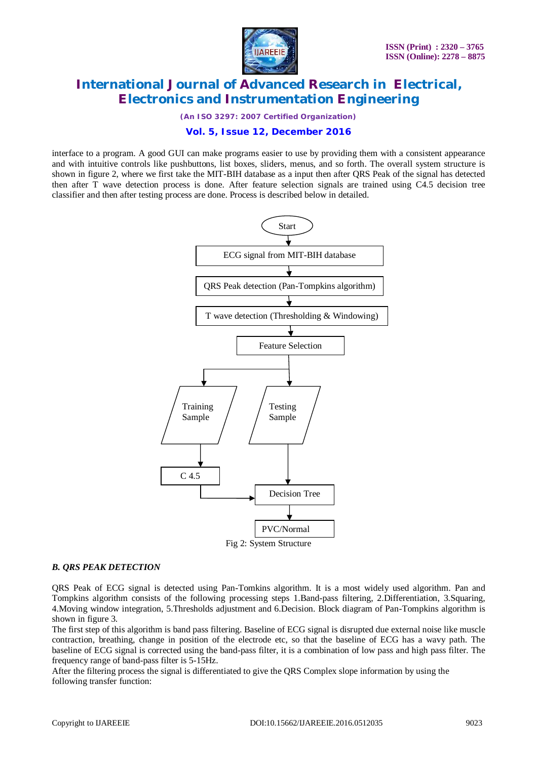

*(An ISO 3297: 2007 Certified Organization)*

## **Vol. 5, Issue 12, December 2016**

interface to a program. A good GUI can make programs easier to use by providing them with a consistent appearance and with intuitive controls like pushbuttons, list boxes, sliders, menus, and so forth. The overall system structure is shown in figure 2, where we first take the MIT-BIH database as a input then after QRS Peak of the signal has detected then after T wave detection process is done. After feature selection signals are trained using C4.5 decision tree classifier and then after testing process are done. Process is described below in detailed.



#### Fig 2: System Structure

#### *B. QRS PEAK DETECTION*

QRS Peak of ECG signal is detected using Pan-Tomkins algorithm. It is a most widely used algorithm. Pan and Tompkins algorithm consists of the following processing steps 1.Band-pass filtering, 2.Differentiation, 3.Squaring, 4.Moving window integration, 5.Thresholds adjustment and 6.Decision. Block diagram of Pan-Tompkins algorithm is shown in figure 3.

The first step of this algorithm is band pass filtering. Baseline of ECG signal is disrupted due external noise like muscle contraction, breathing, change in position of the electrode etc, so that the baseline of ECG has a wavy path. The baseline of ECG signal is corrected using the band-pass filter, it is a combination of low pass and high pass filter. The frequency range of band-pass filter is 5-15Hz.

After the filtering process the signal is differentiated to give the QRS Complex slope information by using the following transfer function: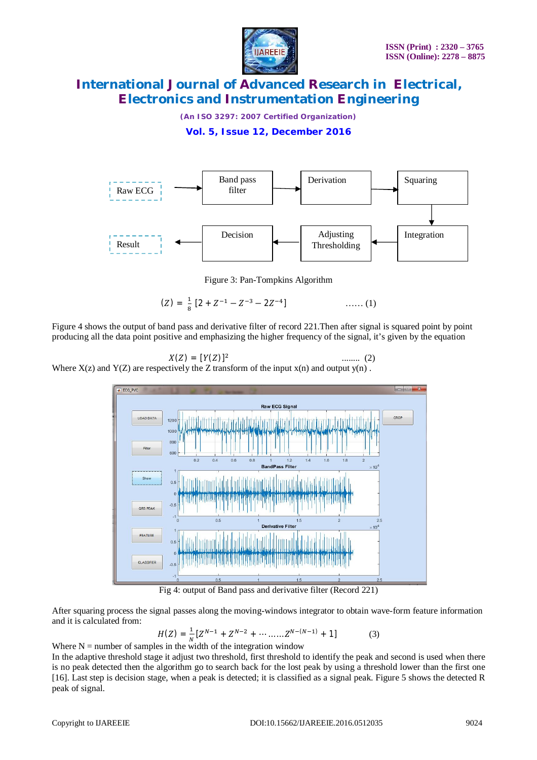

*(An ISO 3297: 2007 Certified Organization)*

**Vol. 5, Issue 12, December 2016**



Figure 3: Pan-Tompkins Algorithm

 $(Z) = \frac{1}{2}$  $\frac{1}{8}$  [2 +  $Z^{-1}$  –  $Z^{-3}$  – 2 $Z^{-4}$  $\ldots$  (1)

Figure 4 shows the output of band pass and derivative filter of record 221.Then after signal is squared point by point producing all the data point positive and emphasizing the higher frequency of the signal, it's given by the equation

$$
X(Z) = [Y(Z)]^2
$$

 ........ (2) Where  $X(z)$  and  $Y(Z)$  are respectively the Z transform of the input  $x(n)$  and output  $y(n)$ .



Fig 4: output of Band pass and derivative filter (Record 221)

After squaring process the signal passes along the moving-windows integrator to obtain wave-form feature information and it is calculated from:

$$
H(Z) = \frac{1}{N} \left[ Z^{N-1} + Z^{N-2} + \dots + Z^{N-(N-1)} + 1 \right]
$$
 (3)

Where N = number of samples in the width of the integration window

In the adaptive threshold stage it adjust two threshold, first threshold to identify the peak and second is used when there is no peak detected then the algorithm go to search back for the lost peak by using a threshold lower than the first one [16]. Last step is decision stage, when a peak is detected; it is classified as a signal peak. Figure 5 shows the detected R peak of signal.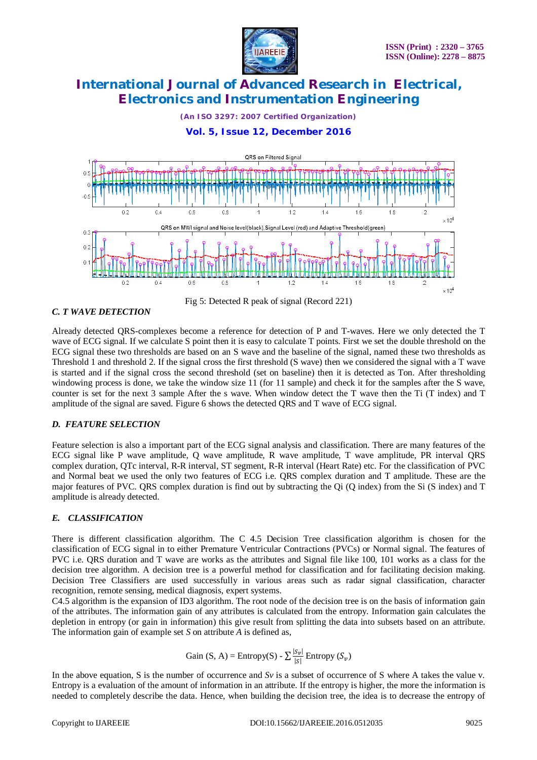

*(An ISO 3297: 2007 Certified Organization)*

# **Vol. 5, Issue 12, December 2016**



#### *C. T WAVE DETECTION*

Fig 5: Detected R peak of signal (Record 221)

Already detected QRS-complexes become a reference for detection of P and T-waves. Here we only detected the T wave of ECG signal. If we calculate S point then it is easy to calculate T points. First we set the double threshold on the ECG signal these two thresholds are based on an S wave and the baseline of the signal, named these two thresholds as Threshold 1 and threshold 2. If the signal cross the first threshold (S wave) then we considered the signal with a T wave is started and if the signal cross the second threshold (set on baseline) then it is detected as Ton. After thresholding windowing process is done, we take the window size 11 (for 11 sample) and check it for the samples after the S wave, counter is set for the next 3 sample After the s wave. When window detect the T wave then the Ti (T index) and T amplitude of the signal are saved. Figure 6 shows the detected QRS and T wave of ECG signal.

## *D. FEATURE SELECTION*

Feature selection is also a important part of the ECG signal analysis and classification. There are many features of the ECG signal like P wave amplitude, Q wave amplitude, R wave amplitude, T wave amplitude, PR interval QRS complex duration, QTc interval, R-R interval, ST segment, R-R interval (Heart Rate) etc. For the classification of PVC and Normal beat we used the only two features of ECG i.e. QRS complex duration and T amplitude. These are the major features of PVC. QRS complex duration is find out by subtracting the Qi (Q index) from the Si (S index) and T amplitude is already detected.

## *E. CLASSIFICATION*

There is different classification algorithm. The C 4.5 Decision Tree classification algorithm is chosen for the classification of ECG signal in to either Premature Ventricular Contractions (PVCs) or Normal signal. The features of PVC i.e. QRS duration and T wave are works as the attributes and Signal file like 100, 101 works as a class for the decision tree algorithm. A decision tree is a powerful method for classification and for facilitating decision making. Decision Tree Classifiers are used successfully in various areas such as radar signal classification, character recognition, remote sensing, medical diagnosis, expert systems.

C4.5 algorithm is the expansion of ID3 algorithm. The root node of the decision tree is on the basis of information gain of the attributes. The information gain of any attributes is calculated from the entropy. Information gain calculates the depletion in entropy (or gain in information) this give result from splitting the data into subsets based on an attribute. The information gain of example set *S* on attribute *A* is defined as,

Gain (S, A) = Entropy(S) - 
$$
\sum \frac{|S_v|}{|S|}
$$
 Entropy  $(S_v)$ 

In the above equation, S is the number of occurrence and *Sv* is a subset of occurrence of S where A takes the value v. Entropy is a evaluation of the amount of information in an attribute. If the entropy is higher, the more the information is needed to completely describe the data. Hence, when building the decision tree, the idea is to decrease the entropy of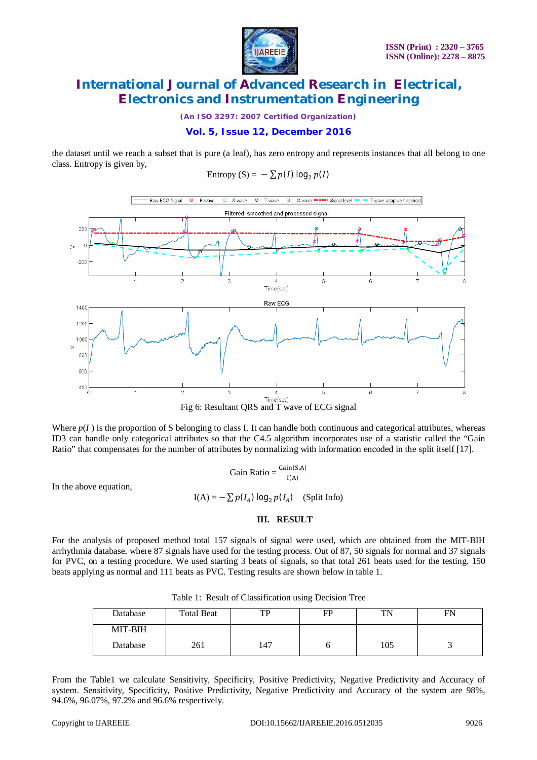

*(An ISO 3297: 2007 Certified Organization)*

## **Vol. 5, Issue 12, December 2016**

the dataset until we reach a subset that is pure (a leaf), has zero entropy and represents instances that all belong to one class. Entropy is given by,

Entropy (S) = 
$$
-\sum p(I) \log_2 p(I)
$$



Where  $p(I)$  is the proportion of S belonging to class I. It can handle both continuous and categorical attributes, whereas ID3 can handle only categorical attributes so that the C4.5 algorithm incorporates use of a statistic called the "Gain Ratio" that compensates for the number of attributes by normalizing with information encoded in the split itself [17].

Gain Ratio = 
$$
\frac{Gain(S,A)}{I(A)}
$$

In the above equation,

 $I(A) = -\sum p(I_A) \log_2 p(I_A)$  (Split Info)

## **III. RESULT**

For the analysis of proposed method total 157 signals of signal were used, which are obtained from the MIT-BIH arrhythmia database, where 87 signals have used for the testing process. Out of 87, 50 signals for normal and 37 signals for PVC, on a testing procedure. We used starting 3 beats of signals, so that total 261 beats used for the testing. 150 beats applying as normal and 111 beats as PVC. Testing results are shown below in table 1.

|          |                   |     | $\tilde{\phantom{a}}$ |     |    |
|----------|-------------------|-----|-----------------------|-----|----|
| Database | <b>Total Beat</b> | TР  | FP                    | TN  | FN |
| MIT-BIH  |                   |     |                       |     |    |
| Database | 261               | 147 |                       | 105 |    |

Table 1: Result of Classification using Decision Tree

From the Table1 we calculate Sensitivity, Specificity, Positive Predictivity, Negative Predictivity and Accuracy of system. Sensitivity, Specificity, Positive Predictivity, Negative Predictivity and Accuracy of the system are 98%, 94.6%, 96.07%, 97.2% and 96.6% respectively.